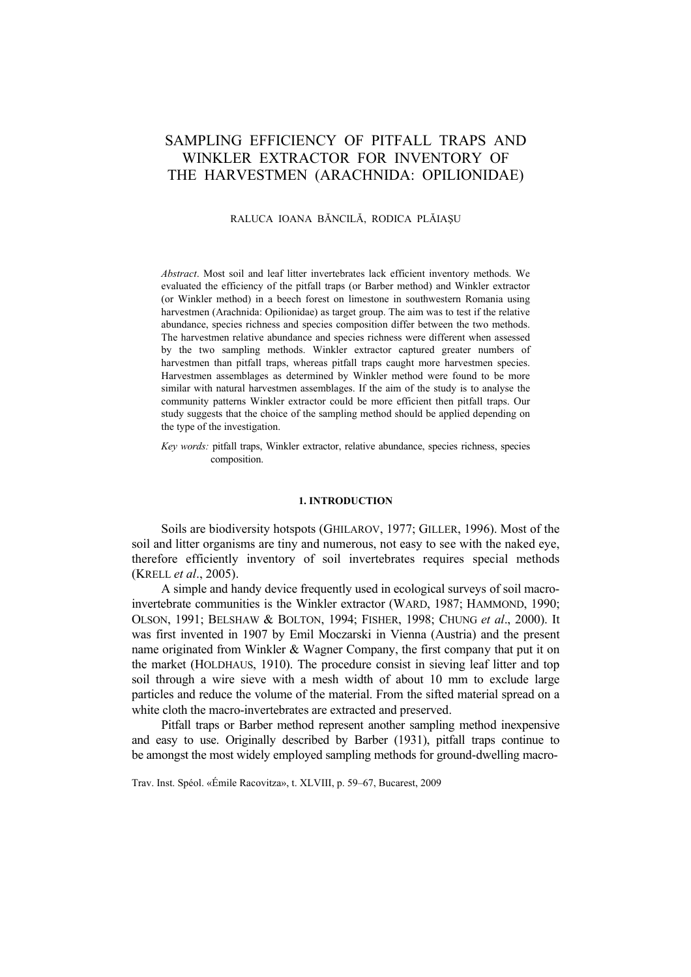# SAMPLING EFFICIENCY OF PITFALL TRAPS AND WINKLER EXTRACTOR FOR INVENTORY OF THE HARVESTMEN (ARACHNIDA: OPILIONIDAE)

### RALUCA IOANA BĂNCILĂ, RODICA PLĂIAŞU

*Abstract*. Most soil and leaf litter invertebrates lack efficient inventory methods. We evaluated the efficiency of the pitfall traps (or Barber method) and Winkler extractor (or Winkler method) in a beech forest on limestone in southwestern Romania using harvestmen (Arachnida: Opilionidae) as target group. The aim was to test if the relative abundance, species richness and species composition differ between the two methods. The harvestmen relative abundance and species richness were different when assessed by the two sampling methods. Winkler extractor captured greater numbers of harvestmen than pitfall traps, whereas pitfall traps caught more harvestmen species. Harvestmen assemblages as determined by Winkler method were found to be more similar with natural harvestmen assemblages. If the aim of the study is to analyse the community patterns Winkler extractor could be more efficient then pitfall traps. Our study suggests that the choice of the sampling method should be applied depending on the type of the investigation.

*Key words:* pitfall traps, Winkler extractor, relative abundance, species richness, species composition.

# **1. INTRODUCTION**

Soils are biodiversity hotspots (GHILAROV, 1977; GILLER, 1996). Most of the soil and litter organisms are tiny and numerous, not easy to see with the naked eye, therefore efficiently inventory of soil invertebrates requires special methods (KRELL *et al*., 2005).

A simple and handy device frequently used in ecological surveys of soil macroinvertebrate communities is the Winkler extractor (WARD, 1987; HAMMOND, 1990; OLSON, 1991; BELSHAW & BOLTON, 1994; FISHER, 1998; CHUNG *et al*., 2000). It was first invented in 1907 by Emil Moczarski in Vienna (Austria) and the present name originated from Winkler & Wagner Company, the first company that put it on the market (HOLDHAUS, 1910). The procedure consist in sieving leaf litter and top soil through a wire sieve with a mesh width of about 10 mm to exclude large particles and reduce the volume of the material. From the sifted material spread on a white cloth the macro-invertebrates are extracted and preserved.

Pitfall traps or Barber method represent another sampling method inexpensive and easy to use. Originally described by Barber (1931), pitfall traps continue to be amongst the most widely employed sampling methods for ground-dwelling macro-

Trav. Inst. Spéol. «Émile Racovitza», t. XLVIII, p. 59–67, Bucarest, 2009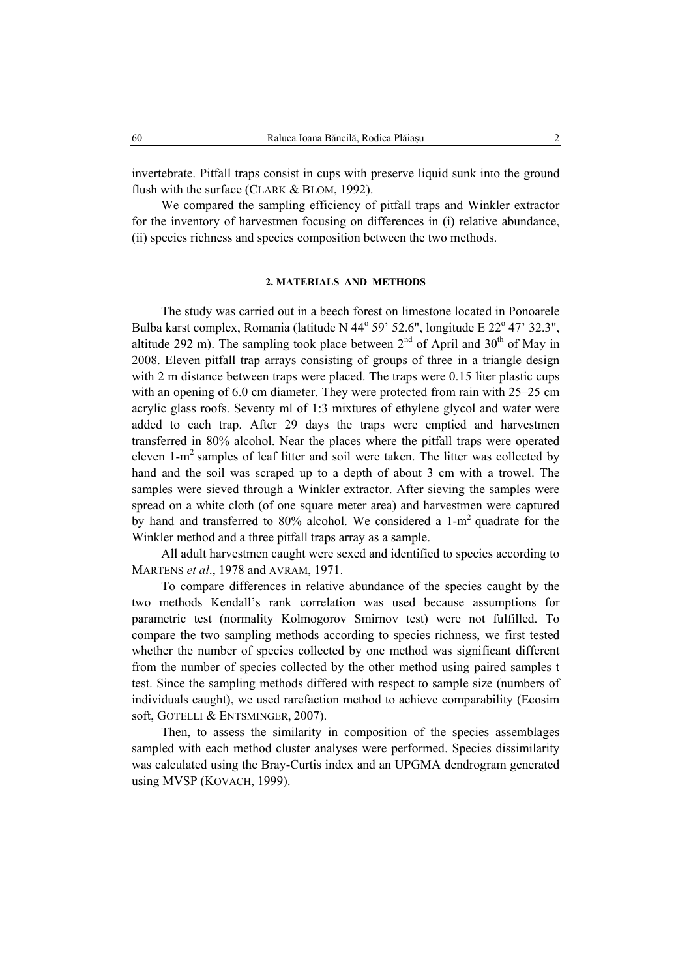invertebrate. Pitfall traps consist in cups with preserve liquid sunk into the ground flush with the surface (CLARK & BLOM, 1992).

We compared the sampling efficiency of pitfall traps and Winkler extractor for the inventory of harvestmen focusing on differences in (i) relative abundance, (ii) species richness and species composition between the two methods.

#### **2. MATERIALS AND METHODS**

The study was carried out in a beech forest on limestone located in Ponoarele Bulba karst complex, Romania (latitude N  $44^{\circ}$  59' 52.6", longitude E  $22^{\circ}$  47' 32.3", altitude 292 m). The sampling took place between  $2<sup>nd</sup>$  of April and 30<sup>th</sup> of May in 2008. Eleven pitfall trap arrays consisting of groups of three in a triangle design with 2 m distance between traps were placed. The traps were 0.15 liter plastic cups with an opening of 6.0 cm diameter. They were protected from rain with 25–25 cm acrylic glass roofs. Seventy ml of 1:3 mixtures of ethylene glycol and water were added to each trap. After 29 days the traps were emptied and harvestmen transferred in 80% alcohol. Near the places where the pitfall traps were operated eleven 1-m2 samples of leaf litter and soil were taken. The litter was collected by hand and the soil was scraped up to a depth of about 3 cm with a trowel. The samples were sieved through a Winkler extractor. After sieving the samples were spread on a white cloth (of one square meter area) and harvestmen were captured by hand and transferred to 80% alcohol. We considered a  $1-m^2$  quadrate for the Winkler method and a three pitfall traps array as a sample.

All adult harvestmen caught were sexed and identified to species according to MARTENS *et al*., 1978 and AVRAM, 1971.

To compare differences in relative abundance of the species caught by the two methods Kendall's rank correlation was used because assumptions for parametric test (normality Kolmogorov Smirnov test) were not fulfilled. To compare the two sampling methods according to species richness, we first tested whether the number of species collected by one method was significant different from the number of species collected by the other method using paired samples t test. Since the sampling methods differed with respect to sample size (numbers of individuals caught), we used rarefaction method to achieve comparability (Ecosim soft, GOTELLI & ENTSMINGER, 2007).

Then, to assess the similarity in composition of the species assemblages sampled with each method cluster analyses were performed. Species dissimilarity was calculated using the Bray-Curtis index and an UPGMA dendrogram generated using MVSP (KOVACH, 1999).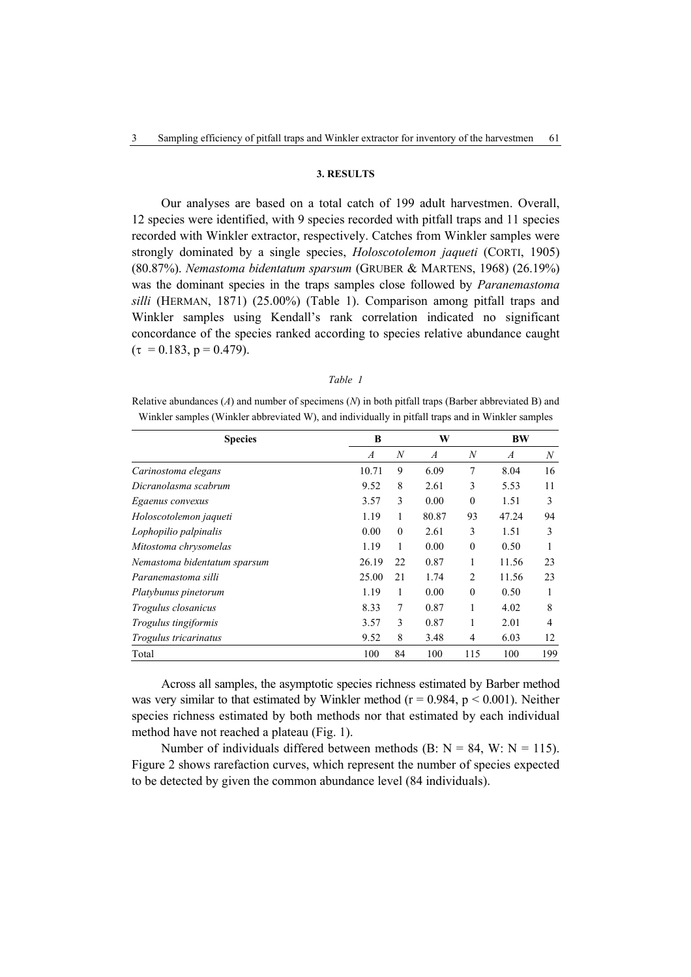# **3. RESULTS**

Our analyses are based on a total catch of 199 adult harvestmen. Overall, 12 species were identified, with 9 species recorded with pitfall traps and 11 species recorded with Winkler extractor, respectively. Catches from Winkler samples were strongly dominated by a single species, *Holoscotolemon jaqueti* (CORTI, 1905) (80.87%). *Nemastoma bidentatum sparsum* (GRUBER & MARTENS, 1968) (26.19%) was the dominant species in the traps samples close followed by *Paranemastoma silli* (HERMAN, 1871) (25.00%) (Table 1). Comparison among pitfall traps and Winkler samples using Kendall's rank correlation indicated no significant concordance of the species ranked according to species relative abundance caught  $(\tau = 0.183, p = 0.479)$ .

#### *Table 1*

Relative abundances (*A*) and number of specimens (*N*) in both pitfall traps (Barber abbreviated B) and Winkler samples (Winkler abbreviated W), and individually in pitfall traps and in Winkler samples

| <b>Species</b>               | B     |          | W              |                  | <b>BW</b> |     |
|------------------------------|-------|----------|----------------|------------------|-----------|-----|
|                              | A     | N        | $\overline{A}$ | $\boldsymbol{N}$ | A         | N   |
| Carinostoma elegans          | 10.71 | 9        | 6.09           | 7                | 8.04      | 16  |
| Dicranolasma scabrum         | 9.52  | 8        | 2.61           | 3                | 5.53      | 11  |
| Egaenus convexus             | 3.57  | 3        | 0.00           | $\theta$         | 1.51      | 3   |
| Holoscotolemon jaqueti       | 1.19  | 1        | 80.87          | 93               | 47.24     | 94  |
| Lophopilio palpinalis        | 0.00  | $\theta$ | 2.61           | 3                | 1.51      | 3   |
| Mitostoma chrysomelas        | 1.19  | 1        | 0.00           | $\mathbf{0}$     | 0.50      |     |
| Nemastoma bidentatum sparsum | 26.19 | 22       | 0.87           | 1                | 11.56     | 23  |
| Paranemastoma silli          | 25.00 | 21       | 1.74           | $\overline{2}$   | 11.56     | 23  |
| Platybunus pinetorum         | 1.19  | 1        | 0.00           | $\theta$         | 0.50      |     |
| Trogulus closanicus          | 8.33  | 7        | 0.87           | 1                | 4.02      | 8   |
| Trogulus tingiformis         | 3.57  | 3        | 0.87           | 1                | 2.01      | 4   |
| Trogulus tricarinatus        | 9.52  | 8        | 3.48           | 4                | 6.03      | 12  |
| Total                        | 100   | 84       | 100            | 115              | 100       | 199 |

Across all samples, the asymptotic species richness estimated by Barber method was very similar to that estimated by Winkler method ( $r = 0.984$ ,  $p < 0.001$ ). Neither species richness estimated by both methods nor that estimated by each individual method have not reached a plateau (Fig. 1).

Number of individuals differed between methods (B:  $N = 84$ , W:  $N = 115$ ). Figure 2 shows rarefaction curves, which represent the number of species expected to be detected by given the common abundance level (84 individuals).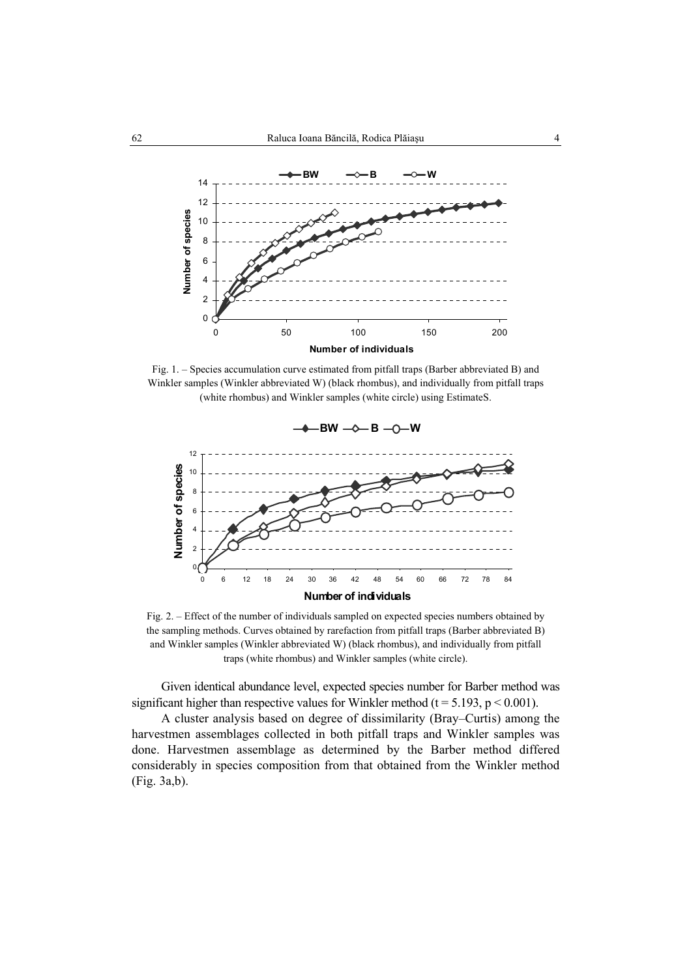

Fig. 1. – Species accumulation curve estimated from pitfall traps (Barber abbreviated B) and Winkler samples (Winkler abbreviated W) (black rhombus), and individually from pitfall traps (white rhombus) and Winkler samples (white circle) using EstimateS.



Fig. 2. – Effect of the number of individuals sampled on expected species numbers obtained by the sampling methods. Curves obtained by rarefaction from pitfall traps (Barber abbreviated B) and Winkler samples (Winkler abbreviated W) (black rhombus), and individually from pitfall traps (white rhombus) and Winkler samples (white circle).

Given identical abundance level, expected species number for Barber method was significant higher than respective values for Winkler method ( $t = 5.193$ ,  $p < 0.001$ ).

A cluster analysis based on degree of dissimilarity (Bray–Curtis) among the harvestmen assemblages collected in both pitfall traps and Winkler samples was done. Harvestmen assemblage as determined by the Barber method differed considerably in species composition from that obtained from the Winkler method (Fig. 3a,b).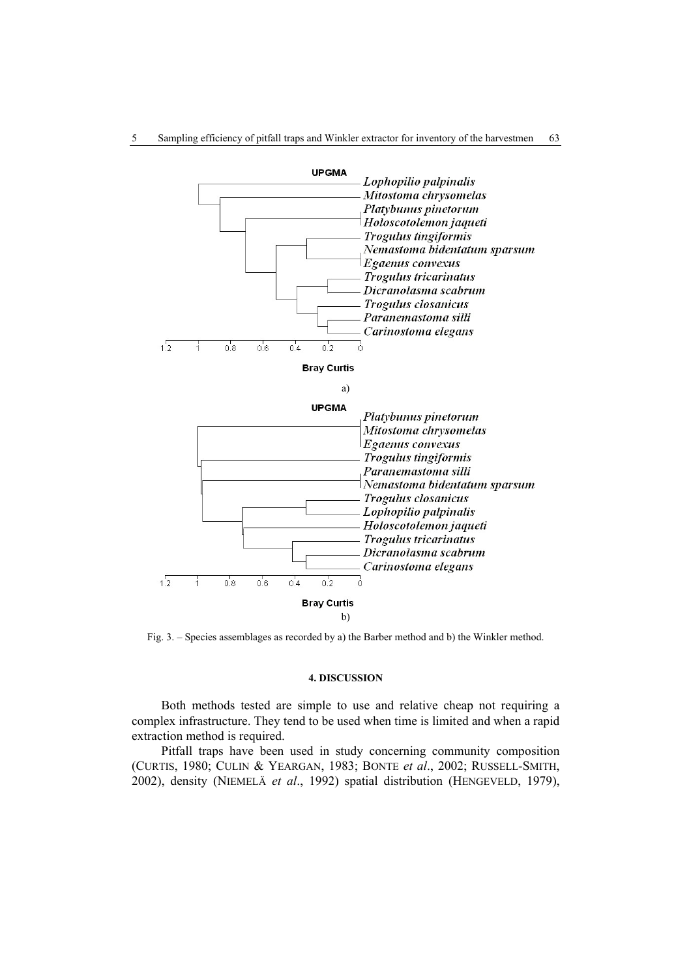



Fig. 3. – Species assemblages as recorded by a) the Barber method and b) the Winkler method.

# **4. DISCUSSION**

Both methods tested are simple to use and relative cheap not requiring a complex infrastructure. They tend to be used when time is limited and when a rapid extraction method is required.

Pitfall traps have been used in study concerning community composition (CURTIS, 1980; CULIN & YEARGAN, 1983; BONTE *et al*., 2002; RUSSELL-SMITH, 2002), density (NIEMELÄ *et al*., 1992) spatial distribution (HENGEVELD, 1979),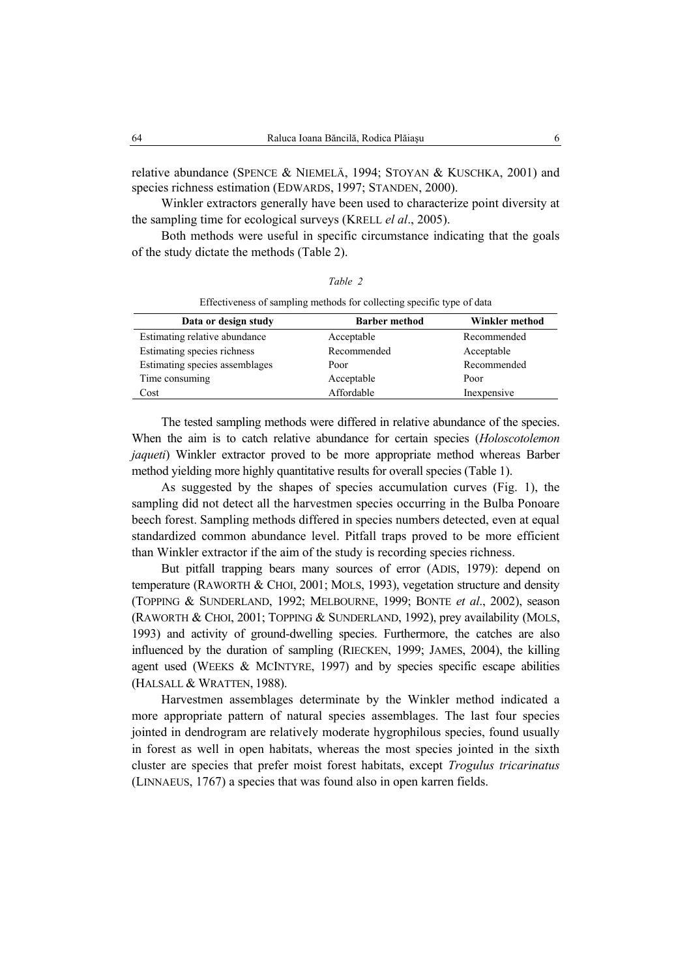relative abundance (SPENCE & NIEMELÄ, 1994; STOYAN & KUSCHKA, 2001) and species richness estimation (EDWARDS, 1997; STANDEN, 2000).

Winkler extractors generally have been used to characterize point diversity at the sampling time for ecological surveys (KRELL *el al*., 2005).

Both methods were useful in specific circumstance indicating that the goals of the study dictate the methods (Table 2).

| Effectiveness of sampling methods for collecting specific type of data |             |                |  |  |  |
|------------------------------------------------------------------------|-------------|----------------|--|--|--|
| Data or design study<br><b>Barber method</b>                           |             | Winkler method |  |  |  |
| Estimating relative abundance                                          | Acceptable  | Recommended    |  |  |  |
| Estimating species richness                                            | Recommended | Acceptable     |  |  |  |
| Estimating species assemblages                                         | Poor        | Recommended    |  |  |  |
| Time consuming                                                         | Acceptable  | Poor           |  |  |  |
| Cost                                                                   | Affordable  | Inexpensive    |  |  |  |

*Table 2* 

The tested sampling methods were differed in relative abundance of the species. When the aim is to catch relative abundance for certain species (*Holoscotolemon jaqueti*) Winkler extractor proved to be more appropriate method whereas Barber method yielding more highly quantitative results for overall species (Table 1).

As suggested by the shapes of species accumulation curves (Fig. 1), the sampling did not detect all the harvestmen species occurring in the Bulba Ponoare beech forest. Sampling methods differed in species numbers detected, even at equal standardized common abundance level. Pitfall traps proved to be more efficient than Winkler extractor if the aim of the study is recording species richness.

But pitfall trapping bears many sources of error (ADIS, 1979): depend on temperature (RAWORTH & CHOI, 2001; MOLS, 1993), vegetation structure and density (TOPPING & SUNDERLAND, 1992; MELBOURNE, 1999; BONTE *et al*., 2002), season (RAWORTH & CHOI, 2001; TOPPING & SUNDERLAND, 1992), prey availability (MOLS, 1993) and activity of ground-dwelling species. Furthermore, the catches are also influenced by the duration of sampling (RIECKEN, 1999; JAMES, 2004), the killing agent used (WEEKS & MCINTYRE, 1997) and by species specific escape abilities (HALSALL & WRATTEN, 1988).

Harvestmen assemblages determinate by the Winkler method indicated a more appropriate pattern of natural species assemblages. The last four species jointed in dendrogram are relatively moderate hygrophilous species, found usually in forest as well in open habitats, whereas the most species jointed in the sixth cluster are species that prefer moist forest habitats, except *Trogulus tricarinatus*  (LINNAEUS, 1767) a species that was found also in open karren fields.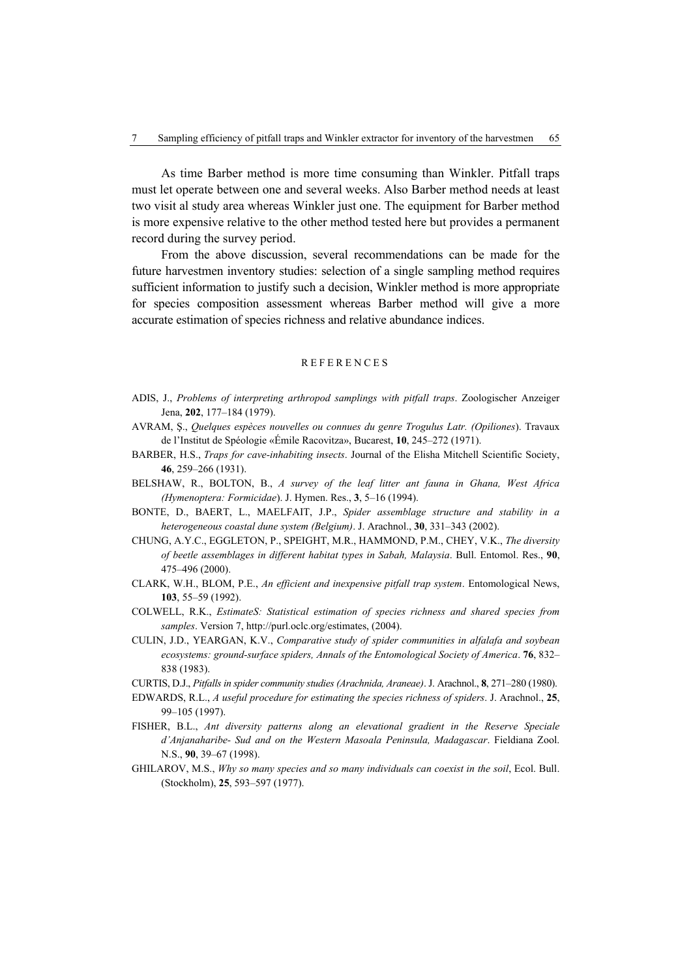As time Barber method is more time consuming than Winkler. Pitfall traps must let operate between one and several weeks. Also Barber method needs at least two visit al study area whereas Winkler just one. The equipment for Barber method is more expensive relative to the other method tested here but provides a permanent record during the survey period.

From the above discussion, several recommendations can be made for the future harvestmen inventory studies: selection of a single sampling method requires sufficient information to justify such a decision, Winkler method is more appropriate for species composition assessment whereas Barber method will give a more accurate estimation of species richness and relative abundance indices.

# REFERENCES

- ADIS, J., *Problems of interpreting arthropod samplings with pitfall traps*. Zoologischer Anzeiger Jena, **202**, 177–184 (1979).
- AVRAM, Ş., *Quelques espèces nouvelles ou connues du genre Trogulus Latr. (Opiliones*). Travaux de l'Institut de Spéologie «Émile Racovitza», Bucarest, **10**, 245–272 (1971).
- BARBER, H.S., *Traps for cave-inhabiting insects*. Journal of the Elisha Mitchell Scientific Society, **46**, 259–266 (1931).
- BELSHAW, R., BOLTON, B., *A survey of the leaf litter ant fauna in Ghana, West Africa (Hymenoptera: Formicidae*). J. Hymen. Res., **3**, 5–16 (1994).
- BONTE, D., BAERT, L., MAELFAIT, J.P., *Spider assemblage structure and stability in a heterogeneous coastal dune system (Belgium)*. J. Arachnol., **30**, 331–343 (2002).
- CHUNG, A.Y.C., EGGLETON, P., SPEIGHT, M.R., HAMMOND, P.M., CHEY, V.K., *The diversity of beetle assemblages in different habitat types in Sabah, Malaysia*. Bull. Entomol. Res., **90**, 475–496 (2000).
- CLARK, W.H., BLOM, P.E., *An efficient and inexpensive pitfall trap system*. Entomological News, **103**, 55–59 (1992).
- COLWELL, R.K., *EstimateS: Statistical estimation of species richness and shared species from samples*. Version 7, http://purl.oclc.org/estimates, (2004).
- CULIN, J.D., YEARGAN, K.V., *Comparative study of spider communities in alfalafa and soybean ecosystems: ground-surface spiders, Annals of the Entomological Society of America*. **76**, 832– 838 (1983).
- CURTIS, D.J., *Pitfalls in spider community studies (Arachnida, Araneae)*. J. Arachnol., **8**, 271–280 (1980).
- EDWARDS, R.L., *A useful procedure for estimating the species richness of spiders*. J. Arachnol., **25**, 99–105 (1997).
- FISHER, B.L., *Ant diversity patterns along an elevational gradient in the Reserve Speciale d'Anjanaharibe- Sud and on the Western Masoala Peninsula, Madagascar*. Fieldiana Zool. N.S., **90**, 39–67 (1998).
- GHILAROV, M.S., *Why so many species and so many individuals can coexist in the soil*, Ecol. Bull. (Stockholm), **25**, 593–597 (1977).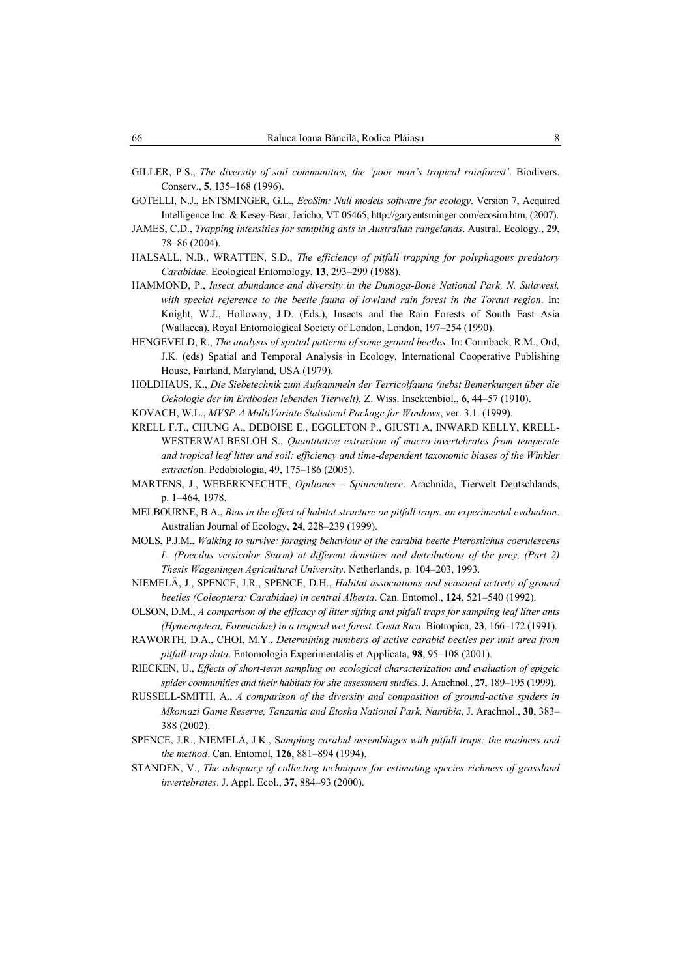- GILLER, P.S., *The diversity of soil communities, the 'poor man's tropical rainforest'*. Biodivers. Conserv., **5**, 135–168 (1996).
- GOTELLI, N.J., ENTSMINGER, G.L., *EcoSim: Null models software for ecology*. Version 7, Acquired Intelligence Inc. & Kesey-Bear, Jericho, VT 05465, http://garyentsminger.com/ecosim.htm, (2007).
- JAMES, C.D., *Trapping intensities for sampling ants in Australian rangelands*. Austral. Ecology., **29**, 78–86 (2004).
- HALSALL, N.B., WRATTEN, S.D., *The efficiency of pitfall trapping for polyphagous predatory Carabidae.* Ecological Entomology, **13**, 293–299 (1988).
- HAMMOND, P., *Insect abundance and diversity in the Dumoga-Bone National Park, N. Sulawesi, with special reference to the beetle fauna of lowland rain forest in the Toraut region*. In: Knight, W.J., Holloway, J.D. (Eds.), Insects and the Rain Forests of South East Asia (Wallacea), Royal Entomological Society of London, London, 197–254 (1990).
- HENGEVELD, R., *The analysis of spatial patterns of some ground beetles*. In: Cormback, R.M., Ord, J.K. (eds) Spatial and Temporal Analysis in Ecology, International Cooperative Publishing House, Fairland, Maryland, USA (1979).
- HOLDHAUS, K., *Die Siebetechnik zum Aufsammeln der Terricolfauna (nebst Bemerkungen über die Oekologie der im Erdboden lebenden Tierwelt).* Z. Wiss. Insektenbiol., **6**, 44–57 (1910).
- KOVACH, W.L., *MVSP-A MultiVariate Statistical Package for Windows*, ver. 3.1. (1999).
- KRELL F.T., CHUNG A., DEBOISE E., EGGLETON P., GIUSTI A, INWARD KELLY, KRELL-WESTERWALBESLOH S., *Quantitative extraction of macro-invertebrates from temperate and tropical leaf litter and soil: efficiency and time-dependent taxonomic biases of the Winkler extractio*n. Pedobiologia, 49, 175–186 (2005).
- MARTENS, J., WEBERKNECHTE, *Opiliones Spinnentiere*. Arachnida, Tierwelt Deutschlands, p. 1–464, 1978.
- MELBOURNE, B.A., *Bias in the effect of habitat structure on pitfall traps: an experimental evaluation*. Australian Journal of Ecology, **24**, 228–239 (1999).
- MOLS, P.J.M., *Walking to survive: foraging behaviour of the carabid beetle Pterostichus coerulescens L. (Poecilus versicolor Sturm) at different densities and distributions of the prey, (Part 2) Thesis Wageningen Agricultural University*. Netherlands, p. 104–203, 1993.
- NIEMELÄ, J., SPENCE, J.R., SPENCE, D.H., *Habitat associations and seasonal activity of ground beetles (Coleoptera: Carabidae) in central Alberta*. Can. Entomol., **124**, 521–540 (1992).
- OLSON, D.M., *A comparison of the efficacy of litter sifting and pitfall traps for sampling leaf litter ants (Hymenoptera, Formicidae) in a tropical wet forest, Costa Rica*. Biotropica, **23**, 166–172 (1991).
- RAWORTH, D.A., CHOI, M.Y., *Determining numbers of active carabid beetles per unit area from pitfall-trap data*. Entomologia Experimentalis et Applicata, **98**, 95–108 (2001).
- RIECKEN, U., *Effects of short-term sampling on ecological characterization and evaluation of epigeic spider communities and their habitats for site assessment studies*. J. Arachnol., **27**, 189–195 (1999).
- RUSSELL-SMITH, A., *A comparison of the diversity and composition of ground-active spiders in Mkomazi Game Reserve, Tanzania and Etosha National Park, Namibia*, J. Arachnol., **30**, 383– 388 (2002).
- SPENCE, J.R., NIEMELÄ, J.K., S*ampling carabid assemblages with pitfall traps: the madness and the method*. Can. Entomol, **126**, 881–894 (1994).
- STANDEN, V., *The adequacy of collecting techniques for estimating species richness of grassland invertebrates*. J. Appl. Ecol., **37**, 884–93 (2000).